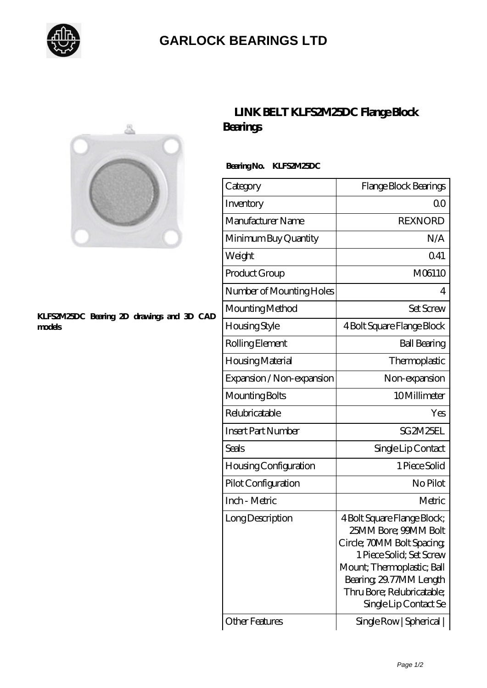

# **[GARLOCK BEARINGS LTD](https://m.letterstopriests.com)**



#### **[KLFS2M25DC Bearing 2D drawings and 3D CAD](https://m.letterstopriests.com/pic-188827.html) [models](https://m.letterstopriests.com/pic-188827.html)**

## **[LINK BELT KLFS2M25DC Flange Block](https://m.letterstopriests.com/bj-188827-link-belt-klfs2m25dc-flange-block-bearings.html) [Bearings](https://m.letterstopriests.com/bj-188827-link-belt-klfs2m25dc-flange-block-bearings.html)**

### **Bearing No. KLFS2M25DC**

| Category                     | Flange Block Bearings                                                                                                                                                                                                        |
|------------------------------|------------------------------------------------------------------------------------------------------------------------------------------------------------------------------------------------------------------------------|
| Inventory                    | 0 <sup>0</sup>                                                                                                                                                                                                               |
| Manufacturer Name            | <b>REXNORD</b>                                                                                                                                                                                                               |
| Minimum Buy Quantity         | N/A                                                                                                                                                                                                                          |
| Weight                       | 041                                                                                                                                                                                                                          |
| Product Group                | M06110                                                                                                                                                                                                                       |
| Number of Mounting Holes     | 4                                                                                                                                                                                                                            |
| Mounting Method              | <b>Set Screw</b>                                                                                                                                                                                                             |
| Housing Style                | 4 Bolt Square Flange Block                                                                                                                                                                                                   |
| Rolling Element              | <b>Ball Bearing</b>                                                                                                                                                                                                          |
| Housing Material             | Thermoplastic                                                                                                                                                                                                                |
| Expansion / Non-expansion    | Non-expansion                                                                                                                                                                                                                |
| Mounting Bolts               | 10Millimeter                                                                                                                                                                                                                 |
| Relubricatable               | Yes                                                                                                                                                                                                                          |
| <b>Insert Part Number</b>    | SG2M25EL                                                                                                                                                                                                                     |
| Seals                        | Single Lip Contact                                                                                                                                                                                                           |
| <b>Housing Configuration</b> | 1 Piece Solid                                                                                                                                                                                                                |
| Pilot Configuration          | No Pilot                                                                                                                                                                                                                     |
| Inch - Metric                | Metric                                                                                                                                                                                                                       |
| Long Description             | 4 Bolt Square Flange Block;<br>25MM Bore; 99MM Bolt<br>Circle; 70MM Bolt Spacing;<br>1 Piece Solid; Set Screw<br>Mount; Thermoplastic; Ball<br>Bearing 29.77MM Length<br>Thru Bore; Relubricatable;<br>Single Lip Contact Se |
| Other Features               | Single Row   Spherical                                                                                                                                                                                                       |